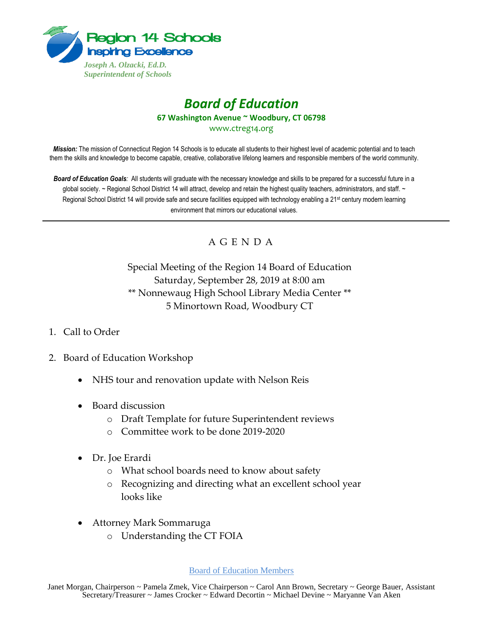

## *Board of Education* **67 Washington Avenue ~ Woodbury, CT 06798** www.ctreg14.org

*Mission:* The mission of Connecticut Region 14 Schools is to educate all students to their highest level of academic potential and to teach them the skills and knowledge to become capable, creative, collaborative lifelong learners and responsible members of the world community.

*Board of Education Goals:* All students will graduate with the necessary knowledge and skills to be prepared for a successful future in a global society. ~ Regional School District 14 will attract, develop and retain the highest quality teachers, administrators, and staff. ~ Regional School District 14 will provide safe and secure facilities equipped with technology enabling a 21<sup>st</sup> century modern learning environment that mirrors our educational values.

## A G E N D A

Special Meeting of the Region 14 Board of Education Saturday, September 28, 2019 at 8:00 am \*\* Nonnewaug High School Library Media Center \*\* 5 Minortown Road, Woodbury CT

- 1. Call to Order
- 2. Board of Education Workshop
	- NHS tour and renovation update with Nelson Reis
	- Board discussion
		- o Draft Template for future Superintendent reviews
		- o Committee work to be done 2019-2020
	- Dr. Joe Erardi
		- o What school boards need to know about safety
		- o Recognizing and directing what an excellent school year looks like
	- Attorney Mark Sommaruga
		- o Understanding the CT FOIA

## Board of Education Members

Janet Morgan, Chairperson ~ Pamela Zmek, Vice Chairperson ~ Carol Ann Brown, Secretary ~ George Bauer, Assistant Secretary/Treasurer ~ James Crocker ~ Edward Decortin ~ Michael Devine ~ Maryanne Van Aken